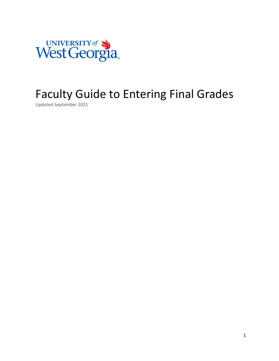

# Faculty Guide to Entering Final Grades

Updated September 2021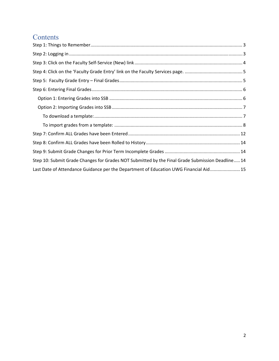## **Contents**

| Step 10: Submit Grade Changes for Grades NOT Submitted by the Final Grade Submission Deadline 14 |
|--------------------------------------------------------------------------------------------------|
| Last Date of Attendance Guidance per the Department of Education UWG Financial Aid 15            |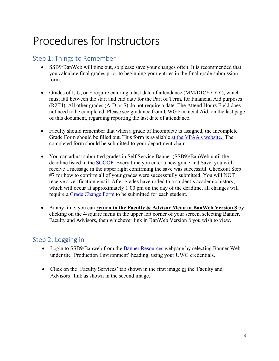# Procedures for Instructors

## Step 1: Things to Remember

- SSB9/BanWeb will time out, so please save your changes often. It is recommended that you calculate final grades prior to beginning your entries in the final grade submission form.
- Grades of I, U, or F require entering a last date of attendance (MM/DD/YYYY), which must fall between the start and end date for the Part of Term, for Financial Aid purposes (R2T4). All other grades (A-D or S) do not require a date. The Attend Hours Field does not need to be completed. Please see guidance from UWG Financial Aid, on the last page of this document, regarding reporting the last date of attendance.
- Faculty should remember that when a grade of Incomplete is assigned, the Incomplete Grade Form should be filled out. This form is available at the VPAA's website. The completed form should be submitted to your department chair.
- You can adjust submitted grades in Self Service Banner (SSB9)/BanWeb until the deadline listed in the SCOOP. Every time you enter a new grade and Save, you will receive a message in the upper right confirming the save was successful. Checkout Step #7 for how to confirm all of your grades were successfully submitted. You will NOT receive a verification email. After grades have rolled to a student's academic history, which will occur at approximately 1:00 pm on the day of the deadline, all changes will require a Grade Change Form to be submitted for each student.
- At any time, you can **return to the Faculty & Advisor Menu in BanWeb Version 8** by clicking on the 4-square menu in the upper left corner of your screen, selecting Banner, Faculty and Advisors, then whichever link in BanWeb Version 8 you wish to view.

### Step 2: Logging in

- Login to SSB9/Banweb from the Banner Resources webpage by selecting Banner Web under the 'Production Environment' heading, using your UWG credentials.
- Click on the 'Faculty Services' tab shown in the first image or the 'Faculty and Advisors" link as shown in the second image.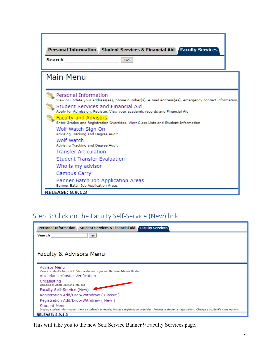| Personal Information Student Services & Financial Aid Faculty Services<br>Search<br>Go                                                                                                                                                                                                                                                                                                                                                                                                                                                                                                           |
|--------------------------------------------------------------------------------------------------------------------------------------------------------------------------------------------------------------------------------------------------------------------------------------------------------------------------------------------------------------------------------------------------------------------------------------------------------------------------------------------------------------------------------------------------------------------------------------------------|
| <b>Main Menu</b>                                                                                                                                                                                                                                                                                                                                                                                                                                                                                                                                                                                 |
| Personal Information<br>View or update your address(es), phone number(s), e-mail address(es), emergency contact information,<br>Student Services and Financial Aid<br>Apply for Admission, Register, View your academic records and Financial Aid<br><b>Faculty and Advisors</b><br>Enter Grades and Registration Overrides, View Class Lists and Student Information<br>Wolf Watch Sign On<br>Advising Tracking and Degree Audit<br>Wolf Watch<br>Advising Tracking and Degree Audit<br><b>Transfer Articulation</b><br><b>Student Transfer Evaluation</b><br>Who is my advisor<br>Campus Carry |
| Banner Batch Job Application Areas<br>Banner Batch Job Application Areas<br><b>RELEASE: 8.9.1.3</b>                                                                                                                                                                                                                                                                                                                                                                                                                                                                                              |

# Step 3: Click on the Faculty Self‐Service (New) link

| <b>Personal Information</b><br><b>Student Services &amp; Financial Aid   Faculty Services</b>                                                                               |
|-----------------------------------------------------------------------------------------------------------------------------------------------------------------------------|
| Search<br>Go                                                                                                                                                                |
|                                                                                                                                                                             |
| Faculty & Advisors Menu                                                                                                                                                     |
|                                                                                                                                                                             |
| <b>Advisor Menu</b><br>View a student's transcript; View a student's grades; Remove Advisor Holds.                                                                          |
| Attendance/Roster Verification                                                                                                                                              |
| Crosslisting<br>Combine multiple sections into one                                                                                                                          |
| Faculty Self-Service (New)                                                                                                                                                  |
| Registration Add/Drop/Withdraw (Classic)                                                                                                                                    |
| Registration Add/Drop/Withdraw (New)                                                                                                                                        |
| Student Menu<br>Display student information; View a student's schedule; Process registration overrides; Process a student's registration; Change a student's class options. |
| <b>RELEASE: 8.9.1.3</b>                                                                                                                                                     |

This will take you to the new Self Service Banner 9 Faculty Services page.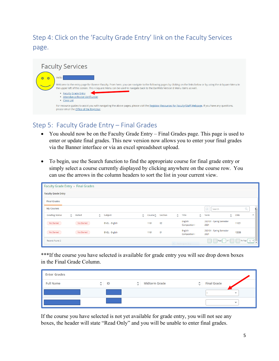# Step 4: Click on the 'Faculty Grade Entry' link on the Faculty Services page.



## Step 5: Faculty Grade Entry – Final Grades

- You should now be on the Faculty Grade Entry Final Grades page. This page is used to enter or update final grades. This new version now allows you to enter your final grades via the Banner interface or via an excel spreadsheet upload.
- To begin, use the Search function to find the appropriate course for final grade entry or simply select a course currently displayed by clicking anywhere on the course row. You can use the arrows in the column headers to sort the list in your current view.

| Faculty Grade Entry Final Grades |             |                       |               |                             |    |           |                          |                    |                                                 |                     |            |                          |
|----------------------------------|-------------|-----------------------|---------------|-----------------------------|----|-----------|--------------------------|--------------------|-------------------------------------------------|---------------------|------------|--------------------------|
| <b>Faculty Grade Entry</b>       |             |                       |               |                             |    |           |                          |                    |                                                 |                     |            |                          |
| <b>Final Grades</b>              |             |                       |               |                             |    |           |                          |                    |                                                 |                     |            |                          |
| <b>My Courses</b>                |             |                       |               |                             |    |           |                          |                    | $\left(\overline{\mathbf{11}}\right)$<br>Search |                     |            |                          |
| <b>Grading Status</b>            | ☆ Rolled    | Subject<br>$\hat{C}$  | $\hat{\cdot}$ | Course <sub>↓</sub> Section |    | $\hat{z}$ | Title                    | $\hat{\mathbb{C}}$ | Term                                            | $\hat{\phantom{a}}$ | <b>CRN</b> | $\hat{~}$                |
| Not Started                      | Not Started | <b>ENGL - English</b> |               | 1101                        | 02 |           | English<br>Composition I |                    | 202101 - Spring Semester<br>2021                |                     | 11021      |                          |
| Not Started                      | Not Started | <b>ENGL - English</b> |               | 1101                        | 01 |           | English<br>Composition I |                    | 202101 - Spring Semester<br>2021                |                     | 13338      |                          |
| Records Found: 2                 |             |                       |               |                             |    |           | · Rectangular Snip       |                    | $1$ of 1<br>Page                                |                     |            | $\overline{\phantom{a}}$ |

\*\*\*If the course you have selected is available for grade entry you will see drop down boxes in the Final Grade Column.

| <b>Enter Grades</b> |              |   |               |                     |                    |
|---------------------|--------------|---|---------------|---------------------|--------------------|
| <b>Full Name</b>    | $\hat{C}$ ID | ≎ | Midterm Grade | $\hat{\mathcal{L}}$ | <b>Final Grade</b> |
|                     |              |   |               |                     | $\checkmark$       |
|                     |              |   |               |                     | $\checkmark$       |

If the course you have selected is not yet available for grade entry, you will not see any boxes, the header will state "Read Only" and you will be unable to enter final grades.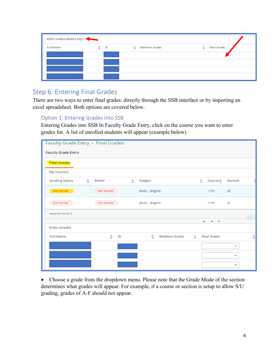| Enter Grades (Read Only) |                     |    |                    |                      |                     |                    |
|--------------------------|---------------------|----|--------------------|----------------------|---------------------|--------------------|
| <b>Full Name</b>         | $\hat{\mathcal{L}}$ | ID | $\hat{\mathbf{c}}$ | <b>Midterm Grade</b> | $\hat{\mathcal{L}}$ | <b>Final Grade</b> |
|                          |                     |    |                    |                      |                     |                    |
|                          |                     |    |                    |                      |                     |                    |
|                          |                     |    |                    |                      |                     |                    |
|                          |                     |    |                    |                      |                     |                    |

### Step 6: Entering Final Grades

There are two ways to enter final grades: directly through the SSB interface or by importing an excel spreadsheet. Both options are covered below.

#### Option 1: Entering Grades into SSB

Entering Grades into SSB In Faculty Grade Entry, click on the course you want to enter grades for. A list of enrolled students will appear (example below).

| Faculty Grade Entry Final Grades |                           |                    |                    |                         |             |         |   |
|----------------------------------|---------------------------|--------------------|--------------------|-------------------------|-------------|---------|---|
| <b>Faculty Grade Entry</b>       |                           |                    |                    |                         |             |         |   |
| <b>Final Grades</b>              |                           |                    |                    |                         |             |         |   |
| My Courses                       |                           |                    |                    |                         |             |         |   |
| Grading Status                   | Rolled<br>Ĉ               | $\hat{\mathbb{C}}$ | Subject            | $\hat{\mathbin{\circ}}$ | Course≎     | Section |   |
| Not Started                      | Not Started               |                    | ENGL - English     |                         | 1101        | 02      |   |
| Not Started                      | Not Started               |                    | ENGL - English     |                         | 1101        | 01      |   |
| Records Found: 2                 |                           |                    |                    |                         |             |         |   |
|                                  |                           |                    |                    |                         |             |         |   |
| <b>Enter Grades</b>              |                           |                    |                    |                         |             |         |   |
| Full Name                        | $\hat{\phantom{a}}$<br>ID |                    | Midterm Grade<br>Ĉ | Ć.                      | Final Grade |         | ≎ |
|                                  |                           |                    |                    |                         |             | v       |   |
|                                  |                           |                    |                    |                         |             | v       |   |
|                                  |                           |                    |                    |                         |             | v       |   |

• Choose a grade from the dropdown menu. Please note that the Grade Mode of the section determines what grades will appear. For example, if a course or section is setup to allow S/U grading, grades of A-F should not appear.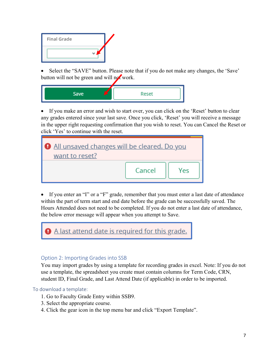

• Select the "SAVE" button. Please note that if you do not make any changes, the 'Save' button will not be green and will not work.



 If you make an error and wish to start over, you can click on the 'Reset' button to clear any grades entered since your last save. Once you click, 'Reset' you will receive a message in the upper right requesting confirmation that you wish to reset. You can Cancel the Reset or click 'Yes' to continue with the reset.

| All unsaved changes will be cleared. Do you<br>want to reset? |        |     |  |  |  |  |
|---------------------------------------------------------------|--------|-----|--|--|--|--|
|                                                               | Cancel | Yes |  |  |  |  |

 If you enter an "I" or a "F" grade, remember that you must enter a last date of attendance within the part of term start and end date before the grade can be successfully saved. The Hours Attended does not need to be completed. If you do not enter a last date of attendance, the below error message will appear when you attempt to Save.



#### Option 2: Importing Grades into SSB

You may import grades by using a template for recording grades in excel. Note: If you do not use a template, the spreadsheet you create must contain columns for Term Code, CRN, student ID, Final Grade, and Last Attend Date (if applicable) in order to be imported.

#### To download a template:

- 1. Go to Faculty Grade Entry within SSB9.
- 3. Select the appropriate course.
- 4. Click the gear icon in the top menu bar and click "Export Template".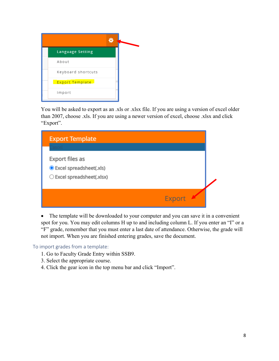| <b>Language Setting</b> |  |
|-------------------------|--|
| About                   |  |
| Keyboard shortcuts      |  |
| Export Template         |  |
| Import                  |  |

You will be asked to export as an .xls or .xlsx file. If you are using a version of excel older than 2007, choose .xls. If you are using a newer version of excel, choose .xlsx and click "Export".

| <b>Export Template</b>                                                     |               |  |
|----------------------------------------------------------------------------|---------------|--|
| Export files as<br>C Excel spreadsheet(.xls)<br>○ Excel spreadsheet(.xlsx) |               |  |
|                                                                            | <b>Export</b> |  |

• The template will be downloaded to your computer and you can save it in a convenient spot for you. You may edit columns H up to and including column L. If you enter an "I" or a "F" grade, remember that you must enter a last date of attendance. Otherwise, the grade will not import. When you are finished entering grades, save the document.

To import grades from a template:

- 1. Go to Faculty Grade Entry within SSB9.
- 3. Select the appropriate course.
- 4. Click the gear icon in the top menu bar and click "Import".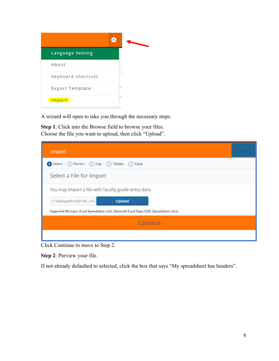| <b>Language Setting</b> |  |
|-------------------------|--|
| About                   |  |
| Keyboard shortcuts      |  |
| Export Template         |  |
| Import                  |  |

A wizard will open to take you through the necessary steps.

**Step 1**: Click into the Browse field to browse your files. Choose the file you want to upload, then click "Upload".

| Import                                                                                       |  |
|----------------------------------------------------------------------------------------------|--|
| Select   (2) Preview   (3) Map   (4) Validate   (5) Finish                                   |  |
| Select a File for Import                                                                     |  |
| You may import a file with faculty grade entry data.                                         |  |
| C:\fakepath\202105_Cri<br><b>Upload</b>                                                      |  |
| Supported file types: Excel Spreadsheet (.xls), Microsoft Excel Open XML Spreadsheet (.xlsx) |  |
| Continue                                                                                     |  |
|                                                                                              |  |

Click Continue to move to Step 2.

**Step 2**: Preview your file.

If not already defaulted to selected, click the box that says "My spreadsheet has headers".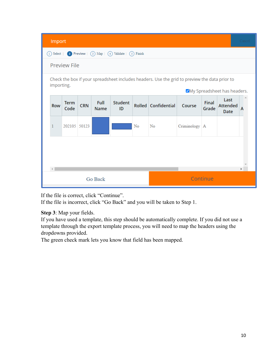| Import                                                                                                                                      |                     |            |                     |               |    |                     |                 |                       |                                 | Cancel |
|---------------------------------------------------------------------------------------------------------------------------------------------|---------------------|------------|---------------------|---------------|----|---------------------|-----------------|-----------------------|---------------------------------|--------|
| 2 Preview $\mid$ (3) Map $\mid$ (4) Validate $\mid$ (5) Finish<br>$(1)$ Select                                                              |                     |            |                     |               |    |                     |                 |                       |                                 |        |
| <b>Preview File</b>                                                                                                                         |                     |            |                     |               |    |                     |                 |                       |                                 |        |
| Check the box if your spreadsheet includes headers. Use the grid to preview the data prior to<br>importing.<br>ØMy Spreadsheet has headers. |                     |            |                     |               |    |                     |                 |                       |                                 |        |
| Row                                                                                                                                         | <b>Term</b><br>Code | <b>CRN</b> | Full<br><b>Name</b> | Student<br>ID |    | Rolled Confidential | Course          | <b>Final</b><br>Grade | Last<br><b>Attended</b><br>Date | A      |
| 1                                                                                                                                           | 202105 50123        |            |                     |               | No | No                  | Criminology   A |                       |                                 |        |
|                                                                                                                                             |                     |            |                     |               |    |                     |                 |                       |                                 |        |
| $\blacktriangleright$                                                                                                                       |                     |            |                     |               |    |                     |                 |                       |                                 |        |
| Go Back                                                                                                                                     |                     |            |                     |               |    | Continue            |                 |                       |                                 |        |

If the file is correct, click "Continue".

If the file is incorrect, click "Go Back" and you will be taken to Step 1.

**Step 3**: Map your fields.

If you have used a template, this step should be automatically complete. If you did not use a template through the export template process, you will need to map the headers using the dropdowns provided.

The green check mark lets you know that field has been mapped.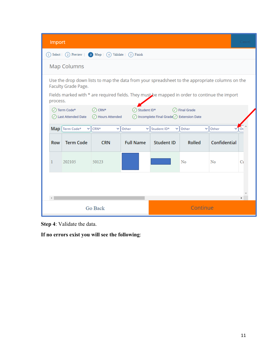| Import     |                                                                                                                                                                                                                                                                                                                       |                |                  |                   |               |              |    |  |  |
|------------|-----------------------------------------------------------------------------------------------------------------------------------------------------------------------------------------------------------------------------------------------------------------------------------------------------------------------|----------------|------------------|-------------------|---------------|--------------|----|--|--|
|            | $(1)$ Select<br>(2) Preview<br>3 Map<br>Validate<br>$(5)$ Finish<br>(4)                                                                                                                                                                                                                                               |                |                  |                   |               |              |    |  |  |
|            | <b>Map Columns</b>                                                                                                                                                                                                                                                                                                    |                |                  |                   |               |              |    |  |  |
|            | Use the drop down lists to map the data from your spreadsheet to the appropriate columns on the<br>Faculty Grade Page.<br>Fields marked with * are required fields. They must be mapped in order to continue the import<br>process.<br>◯ Term Code*<br>$\oslash$ CRN*<br>$\oslash$ Student ID*<br>$\circ$ Final Grade |                |                  |                   |               |              |    |  |  |
|            | ◯ Hours Attended<br>$\oslash$ Incomplete Final Grade $\oslash$ Extension Date<br>(V) Last Attended Date<br>CRN*<br>Map Term Code*<br>Other<br>Student ID*<br>Other<br>Other<br>v<br>v<br>v<br>v<br>v.                                                                                                                 |                |                  |                   |               |              |    |  |  |
| <b>Row</b> | <b>Term Code</b>                                                                                                                                                                                                                                                                                                      | <b>CRN</b>     | <b>Full Name</b> | <b>Student ID</b> | <b>Rolled</b> | Confidential |    |  |  |
| 1          | 202105                                                                                                                                                                                                                                                                                                                | 50123          |                  |                   | No            | No           | C1 |  |  |
|            |                                                                                                                                                                                                                                                                                                                       |                |                  |                   |               |              |    |  |  |
| Þ.         |                                                                                                                                                                                                                                                                                                                       |                |                  |                   |               |              |    |  |  |
|            |                                                                                                                                                                                                                                                                                                                       | <b>Go Back</b> |                  | Continue          |               |              |    |  |  |

**Step 4**: Validate the data.

**If no errors exist you will see the following**: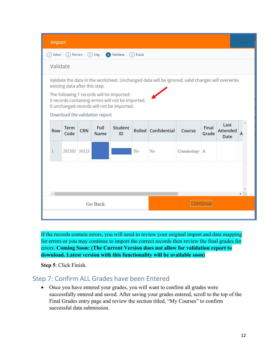

If the records contain errors, you will need to review your original import and data mapping for errors or you may continue to import the correct records then review the final grades for errors. **Coming Soon: (The Current Version does not allow for validation report to download. Latest version with this functionality will be available soon)** 

**Step 5**: Click Finish.

## Step 7: Confirm ALL Grades have been Entered

 Once you have entered your grades, you will want to confirm all grades were successfully entered and saved. After saving your grades entered, scroll to the top of the Final Grades entry page and review the section titled, "My Courses" to confirm successful data submission.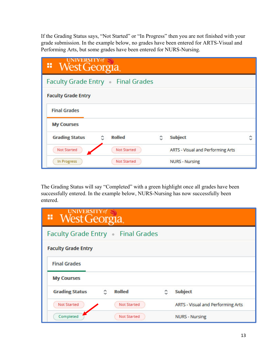If the Grading Status says, "Not Started" or "In Progress" then you are not finished with your grade submission. In the example below, no grades have been entered for ARTS-Visual and Performing Arts, but some grades have been entered for NURS-Nursing.

| <b>UNIVERSITY</b> of<br>" West Georgia |                                         |   |                                   |  |  |  |  |
|----------------------------------------|-----------------------------------------|---|-----------------------------------|--|--|--|--|
|                                        | <b>Faculty Grade Entry Final Grades</b> |   |                                   |  |  |  |  |
| <b>Faculty Grade Entry</b>             |                                         |   |                                   |  |  |  |  |
| <b>Final Grades</b>                    |                                         |   |                                   |  |  |  |  |
| <b>My Courses</b>                      |                                         |   |                                   |  |  |  |  |
| <b>Grading Status</b>                  | <b>Rolled</b><br>≎                      | ≎ | <b>Subject</b>                    |  |  |  |  |
| <b>Not Started</b>                     | <b>Not Started</b>                      |   | ARTS - Visual and Performing Arts |  |  |  |  |
| In Progress                            | <b>Not Started</b>                      |   | <b>NURS - Nursing</b>             |  |  |  |  |

The Grading Status will say "Completed" with a green highlight once all grades have been successfully entered. In the example below, NURS-Nursing has now successfully been entered.

| UNIVERSITY of<br>" West Georgia |                                         |   |                                   |  |  |  |  |
|---------------------------------|-----------------------------------------|---|-----------------------------------|--|--|--|--|
|                                 | <b>Faculty Grade Entry Final Grades</b> |   |                                   |  |  |  |  |
| <b>Faculty Grade Entry</b>      |                                         |   |                                   |  |  |  |  |
| <b>Final Grades</b>             |                                         |   |                                   |  |  |  |  |
| <b>My Courses</b>               |                                         |   |                                   |  |  |  |  |
| <b>Grading Status</b>           | <b>Rolled</b><br>≎                      | ٥ | <b>Subject</b>                    |  |  |  |  |
| <b>Not Started</b>              | <b>Not Started</b>                      |   | ARTS - Visual and Performing Arts |  |  |  |  |
| Completed                       | Not Started                             |   | <b>NURS - Nursing</b>             |  |  |  |  |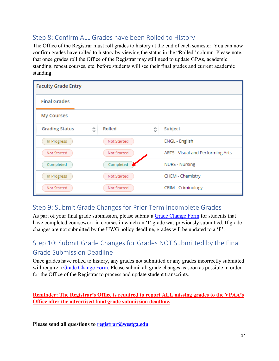## Step 8: Confirm ALL Grades have been Rolled to History

The Office of the Registrar must roll grades to history at the end of each semester. You can now confirm grades have rolled to history by viewing the status in the "Rolled" column. Please note, that once grades roll the Office of the Registrar may still need to update GPAs, academic standing, repeat courses, etc. before students will see their final grades and current academic standing.

| <b>Faculty Grade Entry</b> |             |   |                                   |  |  |
|----------------------------|-------------|---|-----------------------------------|--|--|
| <b>Final Grades</b>        |             |   |                                   |  |  |
| <b>My Courses</b>          |             |   |                                   |  |  |
| <b>Grading Status</b>      | Rolled<br>Ĉ | Ĉ | Subject                           |  |  |
| In Progress                | Not Started |   | <b>ENGL</b> - English             |  |  |
| Not Started                | Not Started |   | ARTS - Visual and Performing Arts |  |  |
| Completed                  | Completed   |   | <b>NURS - Nursing</b>             |  |  |
| In Progress                | Not Started |   | CHEM - Chemistry                  |  |  |
| Not Started                | Not Started |   | CRIM - Criminology                |  |  |

## Step 9: Submit Grade Changes for Prior Term Incomplete Grades

As part of your final grade submission, please submit a Grade Change Form for students that have completed coursework in courses in which an 'I' grade was previously submitted. If grade changes are not submitted by the UWG policy deadline, grades will be updated to a 'F'.

## Step 10: Submit Grade Changes for Grades NOT Submitted by the Final Grade Submission Deadline

Once grades have rolled to history, any grades not submitted or any grades incorrectly submitted will require a Grade Change Form. Please submit all grade changes as soon as possible in order for the Office of the Registrar to process and update student transcripts.

**Reminder: The Registrar's Office is required to report ALL missing grades to the VPAA's Office after the advertised final grade submission deadline.**

**Please send all questions to registrar@westga.edu**